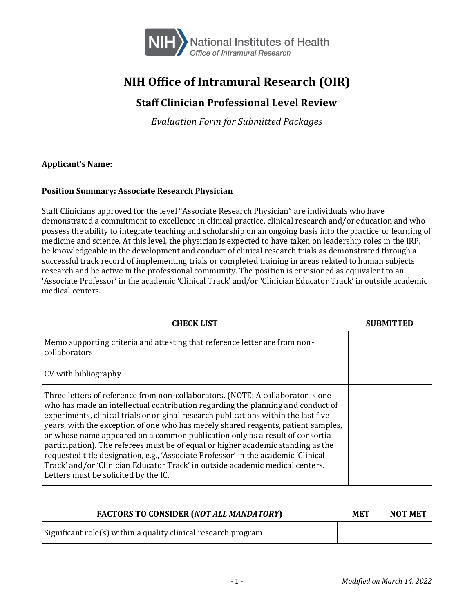

# **NIH Office of Intramural Research (OIR)**

## **Staff Clinician Professional Level Review**

*Evaluation Form for Submitted Packages*

#### **Applicant's Name:**

#### **Position Summary: Associate Research Physician**

Staff Clinicians approved for the level "Associate Research Physician" are individuals who have demonstrated a commitment to excellence in clinical practice, clinical research and/or education and who possess the ability to integrate teaching and scholarship on an ongoing basis into the practice or learning of medicine and science. At this level, the physician is expected to have taken on leadership roles in the IRP, be knowledgeable in the development and conduct of clinical research trials as demonstrated through a successful track record of implementing trials or completed training in areas related to human subjects research and be active in the professional community. The position is envisioned as equivalent to an 'Associate Professor' in the academic 'Clinical Track' and/or 'Clinician Educator Track' in outside academic medical centers.

| <b>CHECK LIST</b>                                                                                                                                                                                                                                                                                                                                                                                                                                                                                                                                                                                                                                                                                                                 |  |
|-----------------------------------------------------------------------------------------------------------------------------------------------------------------------------------------------------------------------------------------------------------------------------------------------------------------------------------------------------------------------------------------------------------------------------------------------------------------------------------------------------------------------------------------------------------------------------------------------------------------------------------------------------------------------------------------------------------------------------------|--|
| Memo supporting criteria and attesting that reference letter are from non-<br>collaborators                                                                                                                                                                                                                                                                                                                                                                                                                                                                                                                                                                                                                                       |  |
| CV with bibliography                                                                                                                                                                                                                                                                                                                                                                                                                                                                                                                                                                                                                                                                                                              |  |
| Three letters of reference from non-collaborators. (NOTE: A collaborator is one<br>who has made an intellectual contribution regarding the planning and conduct of<br>experiments, clinical trials or original research publications within the last five<br>years, with the exception of one who has merely shared reagents, patient samples,<br>or whose name appeared on a common publication only as a result of consortia<br>participation). The referees must be of equal or higher academic standing as the<br>requested title designation, e.g., 'Associate Professor' in the academic 'Clinical<br>Track' and/or 'Clinician Educator Track' in outside academic medical centers.<br>Letters must be solicited by the IC. |  |

| <b>FACTORS TO CONSIDER (NOT ALL MANDATORY)</b>                 | <b>MET</b> | <b>NOT MET</b> |
|----------------------------------------------------------------|------------|----------------|
| Significant role(s) within a quality clinical research program |            |                |